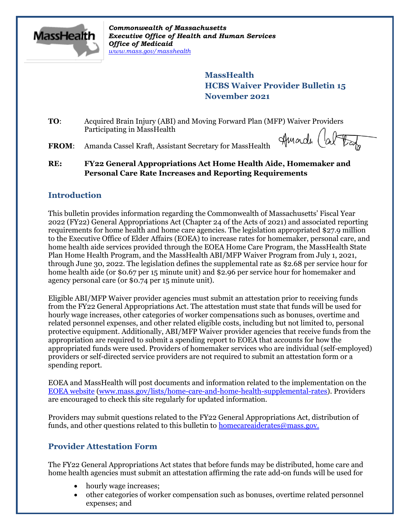

*Commonwealth of Massachusetts Executive Office of Health and Human Services Office of Medicaid [www.mass.gov/masshealth](http://www.mass.gov/masshealth)*

> **MassHealth HCBS Waiver Provider Bulletin 15 November 2021**

**TO**: Acquired Brain Injury (ABI) and Moving Forward Plan (MFP) Waiver Providers Participating in MassHealth

**FROM**: Amanda Cassel Kraft, Assistant Secretary for MassHealth

Amarde (about

**RE: FY22 General Appropriations Act Home Health Aide, Homemaker and Personal Care Rate Increases and Reporting Requirements**

## **Introduction**

This bulletin provides information regarding the Commonwealth of Massachusetts' Fiscal Year 2022 (FY22) General Appropriations Act (Chapter 24 of the Acts of 2021) and associated reporting requirements for home health and home care agencies. The legislation appropriated \$27.9 million to the Executive Office of Elder Affairs (EOEA) to increase rates for homemaker, personal care, and home health aide services provided through the EOEA Home Care Program, the MassHealth State Plan Home Health Program, and the MassHealth ABI/MFP Waiver Program from July 1, 2021, through June 30, 2022. The legislation defines the supplemental rate as \$2.68 per service hour for home health aide (or \$0.67 per 15 minute unit) and \$2.96 per service hour for homemaker and agency personal care (or \$0.74 per 15 minute unit).

Eligible ABI/MFP Waiver provider agencies must submit an attestation prior to receiving funds from the FY22 General Appropriations Act. The attestation must state that funds will be used for hourly wage increases, other categories of worker compensations such as bonuses, overtime and related personnel expenses, and other related eligible costs, including but not limited to, personal protective equipment. Additionally, ABI/MFP Waiver provider agencies that receive funds from the appropriation are required to submit a spending report to EOEA that accounts for how the appropriated funds were used. Providers of homemaker services who are individual (self-employed) providers or self-directed service providers are not required to submit an attestation form or a spending report.

EOEA and MassHealth will post documents and information related to the implementation on the [EOEA website](https://www.mass.gov/lists/home-care-and-home-health-supplemental-rates) [\(www.mass.gov/lists/home-care-and-home-health-supplemental-rates\)](https://www.mass.gov/lists/home-care-and-home-health-supplemental-rates). Providers are encouraged to check this site regularly for updated information.

Providers may submit questions related to the FY22 General Appropriations Act, distribution of funds, and other questions related to this bulletin to [homecareaiderates@mass.gov.](mailto:homecareaiderates@mass.gov)

# **Provider Attestation Form**

The FY22 General Appropriations Act states that before funds may be distributed, home care and home health agencies must submit an attestation affirming the rate add-on funds will be used for

- hourly wage increases;
- other categories of worker compensation such as bonuses, overtime related personnel expenses; and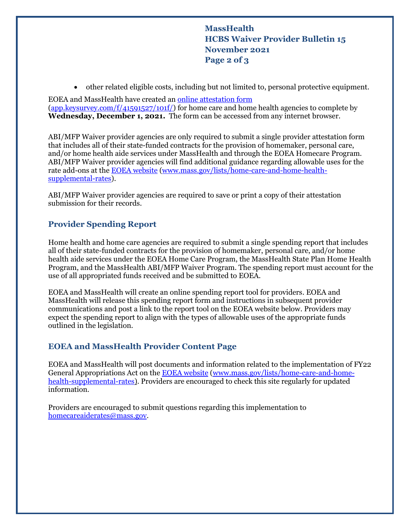**MassHealth HCBS Waiver Provider Bulletin 15 November 2021 Page 2 of 3**

other related eligible costs, including but not limited to, personal protective equipment.

EOEA and MassHealth have created an [online attestation form](https://app.keysurvey.com/f/41591527/101f/) [\(app.keysurvey.com/f/41591527/101f/\)](https://app.keysurvey.com/f/41591527/101f/) for home care and home health agencies to complete by **Wednesday, December 1, 2021.** The form can be accessed from any internet browser.

ABI/MFP Waiver provider agencies are only required to submit a single provider attestation form that includes all of their state-funded contracts for the provision of homemaker, personal care, and/or home health aide services under MassHealth and through the EOEA Homecare Program. ABI/MFP Waiver provider agencies will find additional guidance regarding allowable uses for the rate add-ons at the [EOEA website](https://www.mass.gov/lists/home-care-and-home-health-supplemental-rates) [\(www.mass.gov/lists/home-care-and-home-health](https://www.mass.gov/lists/home-care-and-home-health-supplemental-rates)[supplemental-rates\)](https://www.mass.gov/lists/home-care-and-home-health-supplemental-rates).

ABI/MFP Waiver provider agencies are required to save or print a copy of their attestation submission for their records.

## **Provider Spending Report**

Home health and home care agencies are required to submit a single spending report that includes all of their state-funded contracts for the provision of homemaker, personal care, and/or home health aide services under the EOEA Home Care Program, the MassHealth State Plan Home Health Program, and the MassHealth ABI/MFP Waiver Program. The spending report must account for the use of all appropriated funds received and be submitted to EOEA.

EOEA and MassHealth will create an online spending report tool for providers. EOEA and MassHealth will release this spending report form and instructions in subsequent provider communications and post a link to the report tool on the EOEA website below. Providers may expect the spending report to align with the types of allowable uses of the appropriate funds outlined in the legislation.

## **EOEA and MassHealth Provider Content Page**

EOEA and MassHealth will post documents and information related to the implementation of FY22 General Appropriations Act on the [EOEA website](https://www.mass.gov/lists/home-care-and-home-health-supplemental-rates) [\(www.mass.gov/lists/home-care-and-home](https://www.mass.gov/lists/home-care-and-home-health-supplemental-rates)[health-supplemental-rates\)](https://www.mass.gov/lists/home-care-and-home-health-supplemental-rates). Providers are encouraged to check this site regularly for updated information.

Providers are encouraged to submit questions regarding this implementation to [homecareaiderates@mass.gov.](mailto:homecareaiderates@mass.gov)